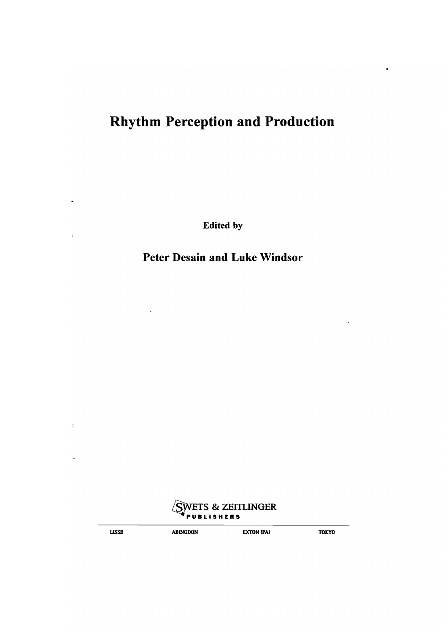# Rhythm Perception and Production

Edited by

### Peter Desain and Luke Windsor



 $\ddot{\phantom{a}}$ 

**LISSE ABINGDON EXTON (PA)** TOKYO

÷.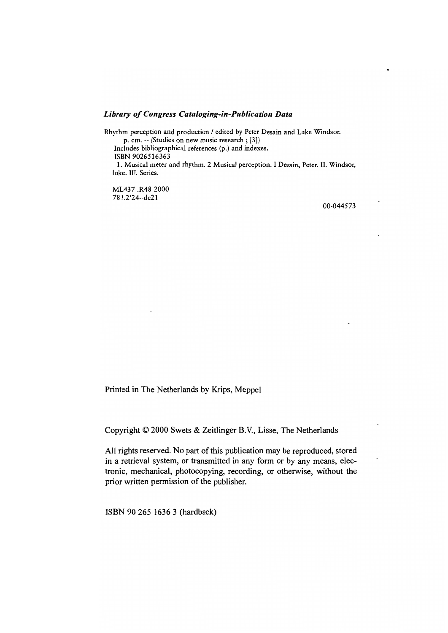#### *Library 0/ Congress Cataloging-in-Publication Data*

Rhythm perceprion and production / edited by Peter Desain and Luke Windsor. p. cm. -- (Studies on new music research; [3])

Includes bibliographical references (p.) and indexes. ISBN 9026516363

1. Musical meter and rhythm. 2 Musical perception. I Desain, Peter. H. Windsor, luke. III. Series.

ML437 .R48 2000 781.2'24--dc21

00-044573

Printed in The Netherlands by Krips, Meppel

Copyright © 2000 Swets & Zeitlinger B.V., Lisse, The Netherlands

All rights reserved. No part of this publication may be reproduced, stored in a retrieval system, or transmitted in any form or by any means, electronic, mechanical, photocopying, recording, or otherwise, without the prior written permission of the publisher.

ISBN 90 265 1636 3 (hardback)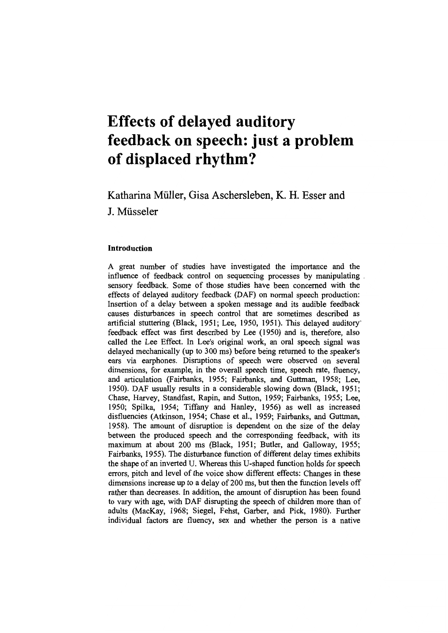## **Effects of delayed auditory feedback on speech: just a problem of displaced rhythm?**

Katharina Müller, Gisa Aschersleben, K. H. Esser and J. Müsseler

### Introduction

A great number of studies have investigated the importance and the influence of feedback control on sequencing processes by manipulating sensory feedback. Some of those studies have been concerned with the effects of delayed auditory feedback (DAF) on normal speech production: Insertion of a delay between a spoken message and its audible feedback causes disturbances in speech control that are sometimes described as artificial stuttering (Black, 1951; Lee, 1950, 1951). This delayed auditory~ feedback effect was first described by Lee (1950) and is, therefore, also called the Lee Effect. In Lee's original work, an oral speech signal was delayed mechanically (up to 300 ms) before being returned to the speaker's ears via earphones. Disruptions of speech were observed on several dimensions, for example, in the overall speech time, speech rate, fluency, and articulation (Fairbanks, 1955; Fairbanks, and Guttman, 1958; Lee, 1950). DAF usually results in a considerable slowing down (Black, 1951; Chase, Harvey, Standfast, Rapin, and Sutton, 1959; Fairbanks, 1955; Lee, 1950; Spilka, 1954; Tiffany and Hanley, 1956) as well as increased disfluencies (Atkinson, 1954; Chase et al., 1959; Fairbanks, and Guttman, 1958). The amount of disruption is dependent on the size of the delay between the produced speech and the corresponding feedback, with its maximum at about 200 ms (Black, 1951; Butler, and Galloway, 1955; Fairbanks, 1955). The disturbance function of different delay times exhibits the shape of an inverted U. Whereas this U-shaped function holds for speech errors, pitch and level of the voice show different effects: Changes in these dimensions increase up to a delay of 200 ms, but then the function levels off rather than decreases. In addition, the amount of disruption has been found to vary with age, with DAF disrupting the speech of children more than of adults (MacKay, 1968; Siegel, Fehst, Garber, and Pick, 1980). Further individual factors are fluency, sex and whether the person is a native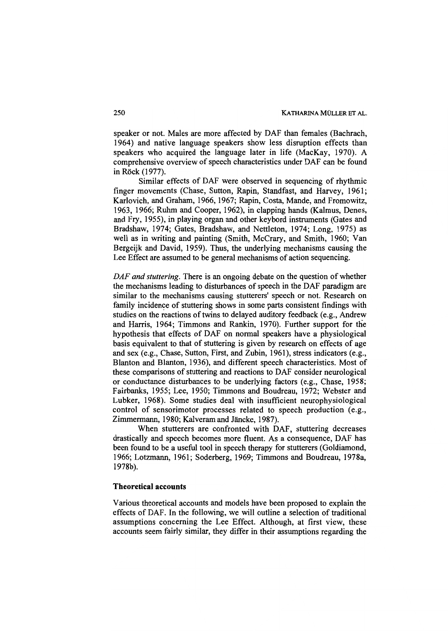speaker or not. Males are more affected by DAF than females (Bachrach, 1964) and native language speakers show less disruption effects than speakers who acquired the language later in life (MacKay, 1970). A comprehensive overview of speech characteristics under DAF can be found in Röck (1977).

Similar effects of DAF were observed in sequencing of rhythmic finger movements (Chase, Sutton, Rapin, Standfast, and Harvey, 1961; Karlovich, and Graham, 1966, 1967; Rapin, Costa, Mande, and Fromowitz, 1963, 1966; Ruhm and Cooper, 1962), in clapping hands (Kalmus, Denes, and Fry, 1955), in playing organ and other keybord instruments (Gates and Bradshaw, 1974; Gates, Bradshaw, and Nettleton, 1974; Long, 1975) as weil as in writing and painting (Smith, McCrary, and Smith, 1960; Van Bergeijk and David, 1959). Thus, the underlying mechanisms causing the Lee Effect are assumed to be general mechanisms of action sequencing.

*DAF and stuttering.* There is an ongoing debate on the question of whether the mechanisms leading to disturbances of speech in the DAF paradigm are similar to the mechanisms causing stutterers' speech or not. Research on family incidence of stuttering shows in some parts consistent findings with studies on the reactions of twins to delayed auditory feedback (e.g., Andrew and Harris, 1964; Timmons and Rankin, 1970). Further support for the hypothesis that effects of DAF on normal speakers have a physiological basis equivalent to that of stuttering is given by research on effects of age and sex (e.g., Chase, Sutton, First, and Zubin, 1961), stress indicators (e.g., Blanton and Blanton, 1936), and different speech characteristics. Most of these comparisons of stuttering and reactions to DAF consider neurological or conductance disturbances to be underlying factors (e.g., Chase, 1958; Fairbanks, 1955; Lee, 1950; Timmons and Boudreau, 1972; Webster and Lubker, 1968). Some studies deal with insufficient neurophysiological control of sensorimotor processes related to speech production (e.g., Zimmermann, 1980; Kalveram and Jäncke, 1987).

When stutterers are confronted with DAF, stuttering decreases drastically and speech becomes more fluent. As a consequence, DAF has been found to be a useful tool in speech therapy for stutterers (Goldiamond, 1966; Lotzmann, 1961; Soderberg, 1969; Timmons and Boudreau, 1978a, 1978b).

#### **Tbeoretical accounts**

Various theoretical accounts and models bave been proposed to explain tbe effects of DAF. In the following, we will outline a selection of traditional assumptions conceming the Lee Effect. Although, at first view, these accounts seem fairly similar, they differ in their assumptions regarding the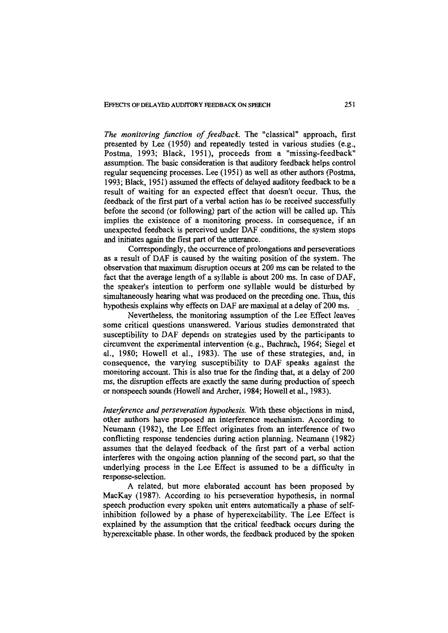EFFECTS OF DELAYED AUDITORY FEEDBACK ON SPEECH 251

*The monitoring function of feedback.* The "classical" approach, first presented by Lee (1950) and repeatedly tested in various studies (e.g., Postma, 1993; Black, 1951), proceeds from a "missing-feedback" assumption. The basic consideration is that auditory feedback helps control regular sequencing processes. Lee (1951) as weIl as other authors (Postma, 1993; Black, 1951) assumed the effects of delayed auditory feedback to be a result of waiting for an expected effect that doesn't occur. Thus, the feedback of the first part of a verbal action has to be received successfully before the second (or following) part of the action will be called up. This implies the existence of a monitoring process. In consequence, if an unexpected feedback is perceived under DAF conditions, the system stops and initiates again the first part of the utterance.

Correspondingly, the occurrence of prolongations and perseverations as a result of DAF is caused by the waiting position of the system. The observation that maximum disruption occurs at 200 ms can be related to the fact that the average length of a syllable is about 200 ms. In case of DAF, the speaker's intention to perform one syllable would be disturbed by simultaneously hearing what was produced on the preceding one. Thus, this hypothesis explains why effects on DAF are maximal at a delay of 200 ms.

Nevertheless, the monitoring assumption of the Lee Effect leaves some critical questions unanswered. Various studies demonstrated that susceptibility to DAF depends on strategies used by the participants to circumvent the experimental intervention (e.g., Bachrach, 1964; Siegel et al., 1980; Howell et al., 1983). The use of these strategies, and, in consequence, the varying susceptibility to DAF speaks against the monitoring account. This is also true for the finding that, at a delay of 200 ms, the disruption effects are exactly the same during production of speech or nonspeech sounds (HoweIl and Archer, 1984; Howell et a1., 1983).

*Interference and perseveration hypothesis.* With these objections in mind, other authors have proposed an interference mechanism. According to Neumann (1982), the Lee Effect originates from an interference of two conflicting response tendencies during action planning. Neumann (1982) assumes that the delayed feedback of the first part of a verbal action interferes with the ongoing action planning of the second part, so that the underlying process in the Lee Effect is assumed to be a difficulty in response-selection.

A related, but more elaborated account has been proposed by MacKay (1987). According to his perseveration hypothesis, in normal speech production every spoken unit enters automatically a phase of selfinhibition followed by a phase of hyperexcitability. The Lee Effect is explained by the assumption that the critical feedback occurs during the hyperexcitable phase. In other words, the feedback produced by the spoken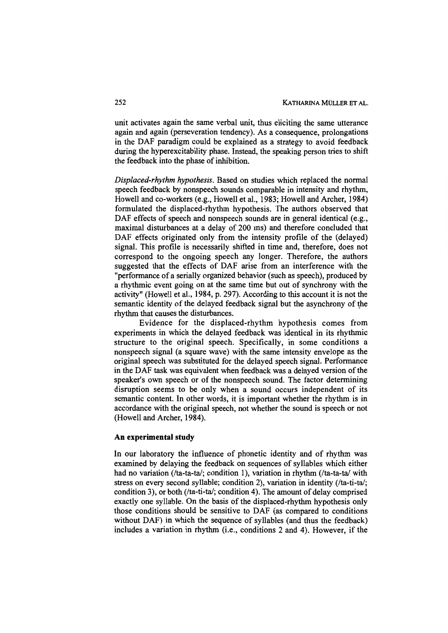unit activates again the same verbal unit, thus eliciting the same utterance again and again (perseveration tendency). As a consequence, prolongations in the DAF paradigm could be explained as a strategy to avoid feedback during the hyperexcitability phase. Instead, the speaking person tries to shift the feedback into the phase of inhibition.

*Displaced-rhythm hypothesis.* Based on studies which replaced the normal speech feedback by nonspeech sounds comparable in intensity and rhythm, Howell and co-workers (e.g., Howell et al., 1983; Howell and Archer, 1984) formulated the displaced-rhythm hypothesis. The authors observed that DAF effects of speech and nonspeech sounds are in general identical (e.g., maximal disturbances at a delay of 200 ms) and therefore concluded that DAF effects originated only from the intensity profile of the (delayed) signal. This profile is necessarily shifted in time and, therefore, does not correspond to the ongoing speech any longer. Therefore, the authors suggested that the effects of DAF arise from an interference with the "performance of a serially organized behavior (such as speech), produced by a rhythmic event going on at the same time but out of synchrony with the activity" (Howell et al., 1984, p. 297). According to this account it is not the semantic identity of the delayed feedback signal but the asynchrony of the rhythm that causes the disturbances.

Evidence for the displaced-rhythm hypothesis comes from experiments in which the delayed feedback was identical in its rhythmic structure to the original speech. Specifically, in some conditions a nonspeech signal (a square wave) with the same intensity envelope as the original speech was substituted for the delayed speech signal. Performance in the DAF task was equivalent when feedback was a delayed version of the speaker's own speech or of the nonspeech sound. The factor determining disruption seems to be only when asound occurs independent of its semantic content. In other words, it is important whether the rhythm is in accordance with the original speech, not whether the sound is speech or not (HoweIl and Archer, 1984).

#### **An experimental study**

In our laboratory the influence of phonetic identity and of rhythm was examined by delaying the feedback on sequences of syllables which either had no variation ( $\pi$ -ta-ta $\lambda$ ; condition 1), variation in rhythm ( $\pi$ -ta-ta $\lambda$  with stress on every second syllable; condition 2), variation in identity (/ta-ti-tal; condition 3), or both (/ta-ti-tal; condition 4). The amount of delay comprised exactly one syllable. On the basis of the displaced-rhythm hypothesis only those conditions should be sensitive to DAF (as compared to conditions without DAF) in which the sequence of syllables (and thus the feedback) includes a variation in rhythm (i.e., conditions 2 and 4). However, if the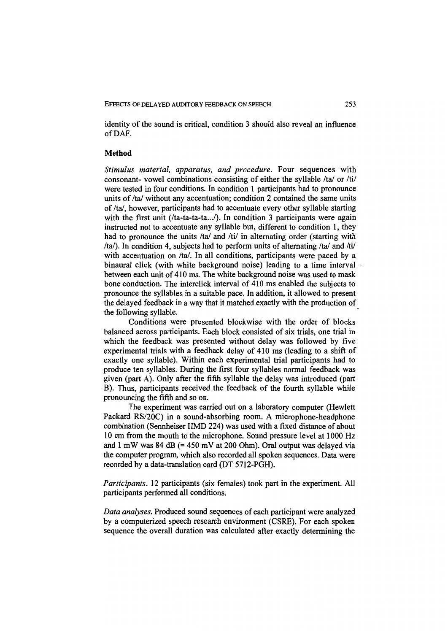identity of the sound is critical, condition 3 should also reveal an influence ofDAF.

#### **Metbod**

*Stimulus material, apparatus, and procedure.* Four sequences with consonant- vowel combinations consisting of either the syllable *Ital* or *Itil*  were tested in four conditions. In condition 1 participants had to pronounce units of /ta/ without any accentuation; condition 2 contained the same units of /ta/, however, participants had to accentuate every other syllable starting with the first unit  $(lta-ta-ta...)$ . In condition 3 participants were again instructed not to accentuate any syllable but, different to condition I, they had to pronounce the units *Ital* and *lti/* in altemating order (starting with /ta/). In condition 4, subjects had to perform units of alternating /ta/ and /ti/ with accentuation on /ta/. In all conditions, participants were paced by a binaural click (with white background noise) leading to a time interval between each unit of 410 ms. The white background noise was used to mask bone conduction. The interclick interval of 410 ms enabled the subjects to pronounce the syllables in a suitable pace. In addition, it allowed to present the delayed feedback in a way that it matched exactly with the production of the following syllable. .

Conditions were presented blockwise with the order of blocks balanced across participants. Each block consisted of six trials, one trial in which the feedback was presented without delay was followed by five experimental trials with a feedback delay of 410 ms (leading to a shift of exactly one syllable). Within each experimental trial participants had to produce ten syllables. During the first four syllables normal feedback was given (part A). Only after the fifth syllable the delay was introduced (part B). Thus, participants received the feedback of the fourth syllable while pronouncing the fifth and so on.

The experiment was carried out on a laboratory computer (Hewlett Packard *RS/20C)* in a sound-absorbing room. A microphone-headphone combination (Sennheiser HMD 224) was used with a fixed distance of about 10 cm from the mouth to the microphone. Sound pressure level at 1000 Hz and  $1 \text{ mW}$  was 84 dB (= 450 mV at 200 Ohm). Oral output was delayed via the computer program, which also recorded all spoken sequences. Data were recorded by a data-translation card (DT 5712-PGH).

*Participants.* 12 participants (six females) took part in the experiment. All participants performed all conditions.

*Data analyses.* Produced sound sequences of each participant were analyzed by a computerized speech research environment (CSRE). For each spoken sequence the overall duration was calculated after exactly determining the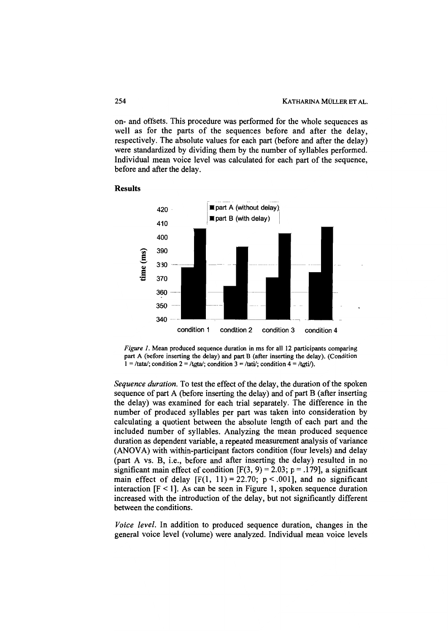on- and offsets. This procedure was perforrned for the whole sequences as weIl as for the parts of the sequences before and after the delay, respectively. The absolute values for each part (before and after the delay) were standardized by dividing them by the number of syllables perforrned. Individual mean voice level was calculated for each part of the sequence, before and after the delay.



#### Results

*Figure* I. Mean produced sequence duration in ms for all 12 participants comparing part A (before inserting the delay) and part B (after inserting the delay). (Condition  $1 = \frac{\text{data}}{\text{total}}$ ; condition  $2 = \frac{\text{data}}{\text{total}}$ ; condition  $3 = \frac{\text{data}}{\text{total}}$ .

*Sequence duration*. To test the effect of the delay, the duration of the spoken sequence of part A (before inserting the delay) and of part B (after inserting the delay) was examined for each trial separately. The difference in the number of produced syllables per part was taken into consideration by calculating a quotient between the absolute length of each part and the included number of syllabies. Analyzing the mean produced sequence duration as dependent variable, a repeated measurement analysis of variance (ANOVA) with within-participant factors condition (four levels) and delay (part A vs. B, i.e., be fore and after inserting the delay) resulted in no significant main effect of condition  $[F(3, 9) = 2.03; p = .179]$ , a significant main effect of delay  $[F(1, 11) = 22.70; p < .001]$ , and no significant interaction  $[F < 1]$ . As can be seen in Figure 1, spoken sequence duration increased with the introduction of the delay, but not significantly different between the conditions.

*Voice level.* In addition to produced sequence duration, changes in the general voice level (volume) were analyzed. Individual mean voice levels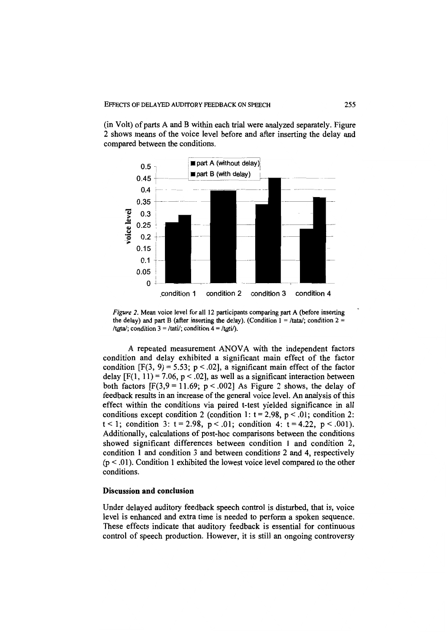$(in Volt)$  of parts A and B within each trial were analyzed separately. Figure 2 shows means of the voice level before and after inserting the delay and compared between the conditions.



*Figure* 2. Mean voice level for all 12 participants comparing part A (before inserting the delay) and part B (after inserting the delay). (Condition  $1 = \frac{\pi}{4}$ ; condition 2 = /tata/; condition 3 = /tati/; condition 4 = /tati/).

A repeated measurement ANOVA with the independent factors condition and delay exhibited a significant main effect of the factor condition  $[F(3, 9) = 5.53; p < .02]$ , a significant main effect of the factor delay  $[F(1, 11) = 7.06, p < .02]$ , as well as a significant interaction between both factors  $[F(3, 9 = 11.69; p < .002]$  As Figure 2 shows, the delay of feedback results in an increase of the general voice level. An analysis of this effect within the conditions via paired t-test yielded significance in all conditions except condition 2 (condition 1:  $t = 2.98$ ,  $p < .01$ ; condition 2:  $t < 1$ ; condition 3:  $t = 2.98$ ,  $p < .01$ ; condition 4:  $t = 4.22$ ,  $p < .001$ ). Additionally, calculations of post-hoc comparisons between the conditions showed significant differences between condition 1 and condition 2, condition 1 and condition 3 and between conditions 2 and 4, respectively  $(p < .01)$ . Condition 1 exhibited the lowest voice level compared to the other conditions.

#### Discussion and conclusion

Under delayed auditory feedback speech control is disturbed, that is, voice level is enhanced and extra time is needed to perform a spoken sequence. These effects indicate that auditory feedback is essential for continuous control of speech production. However, it is still an ongoing controversy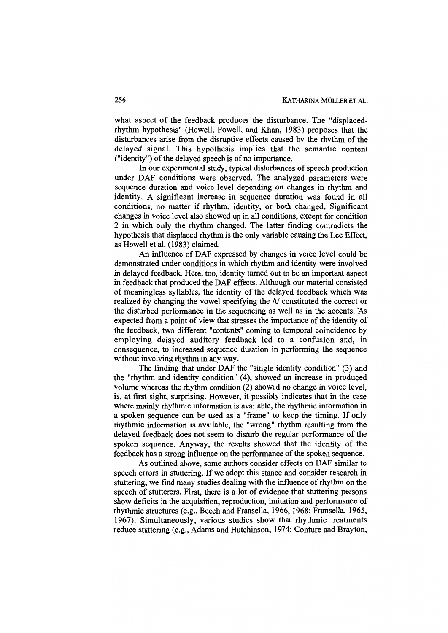what aspect of the feedback produces the disturbance. The "displacedrhythrn hypothesis" (Howell, Powell, and Khan, 1983) proposes that the disturbances arise from the disruptive effects caused by the rhythm of the delayed signal. This hypothesis implies that the semantic content ("identity") of the delayed speech is of no importance.

In our experimental study, typical disturbances of speech production under DAF conditions were observed. The analyzed parameters were sequence duration and voice level depending on changes in rhythm and identity. A significant increase in sequence duration was found in all conditions, no matter if rhythrn, identity, or both changed. Significant changes in voice level also showed up in all conditions, except for condition 2 in which only the rhythrn changed. The latter finding contradicts the hypothesis that displaced rhythm is the only variable causing the Lee Effect, as Howell et a1. (1983) cIaimed.

An influence of DAF expressed by changes in voice level could be demonstrated under conditions in which rhythm and identity were involved in delayed feedback. Here, too, identity turned out to be an important aspect in feedback that produced the DAF effects. Although our material consisted of meaningless syllabies, the identity of the delayed feedback which was realized by changing the vowel specifying the  $/t$  constituted the correct or the disturbed perfonnance in the sequencing as weil as in the accents. 'As expected from a point of view that stresses the importance of the identity of the feedback, two different "contents" coming to temporal coincidence by employing delayed auditory feedback led to a confusion and, in consequence, to increased sequence duration in perfonning the sequence without involving rhythm in any way.

The finding that under DAF the "single identity condition" (3) and the "rhythm and identity condition" (4), showed an increase in produced volume whereas the rhythm condition (2) showed no change in voice level, is, at first sight, surprising. However, it possibly indicates that in the case where mainly rhythmic information is available, the rhythmic information in a spoken sequence can be used as a "frame" to keep the timing. If only rhythmic information is available, the "wrong" rhythm resulting from the delayed feedback does not seem to disturb the regular perfonnance of the spoken sequence. Anyway, the results showed that the identity of the feedback has a strong influence on the perfonnance of the spoken sequence.

As outlined above, some authors consider effects on DAF similar to speech errors in stuttering. If we adopt this stance and consider research in stuttering, we find many studies dealing with the influence of rhythm on the speech of stutterers. First, there is a lot of evidence that stuttering persons show deficits in the acquisition, reproduction, imitation and perfonnance of rhythmic structures (e.g., Beech and Fransella, 1966, 1968; Fransella, 1965, 1967). Simultaneously, various studies show that rhythmic treatments reduce stuttering (e.g., Adams and Hutchinson, 1974; Conture and Brayton,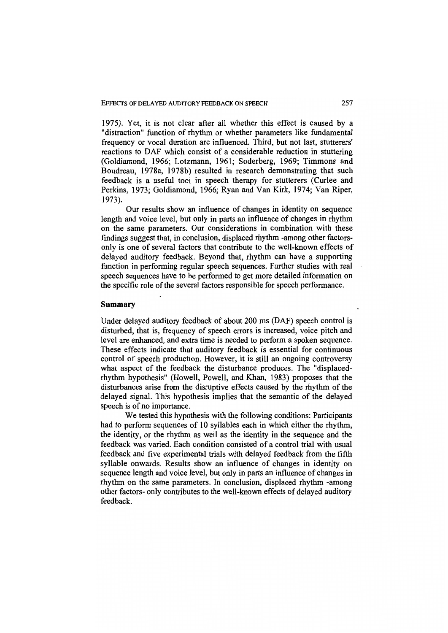1975). Yet, it is not clear after all whether this effect is caused by a "distraction" function of rhythm or whether parameters like fundamental frequency or vocal duration are influenced. Third, but not last, stutterers' reactions to DAF which consist of a considerable reduction in stuttering (Goldiamond, 1966; Lotzmann, 1961; Soderberg, 1969; Timmons and Boudreau, 1978a, 1978b) resulted in research demonstrating that such feedback is a useful tool in speech therapy for stutterers (Curlee and Perkins, 1973; Goldiamond, 1966; Ryan and Van Kirk, 1974; Van Riper, 1973).

Our results show an influence of changes in identity on sequence length and voice level, but only in parts an influence of changes in rhythm on the same parameters. Our considerations in combination with these findings suggest that, in conclusion, displaced rhythm -among other factorsonly is one of several factors that contribute to the well-known effects of delayed auditory feedback. Beyond that, rhythm can have a supporting function in performing regular speech sequences. Further studies with real speech sequences have to be performed to get more detailed information on the specific role of the several factors responsible for speech performance.

### Summary

Under delayed auditory feedback of about 200 ms (DAF) speech control is disturbed, that is, frequency of speech errors is increased, voice pitch and level are enhanced, and extra time is needed to perform a spoken sequence. These effects indicate that auditory feedback is essential for continuous control of speech production. However, it is still an ongoing controversy what aspect of the feedback the disturbance produces. The "displacedrhythm hypothesis" (HoweIl, Powell, and Khan, 1983) proposes that the disturbances arise from the disruptive effects caused by the rhythm of the delayed signal. This hypothesis implies that the semantic of the delayed speech is of no importance.

We tested this hypothesis with the following conditions: Participants had to perform sequences of 10 syllables each in which either the rhythm, the identity, or the rhythm as weil as the identity in the sequence and the feedback was varied. Each condition consisted of a control trial with usual feedback and five experimental trials with delayed feedback from the fifth syllable onwards. Results show an influence of changes in identity on sequence length and voice level, but only in parts an influence of changes in rhythm on the same parameters. In conclusion, displaced rhythm -among other factors- only contributes to the well-known effects of delayed auditory feedback.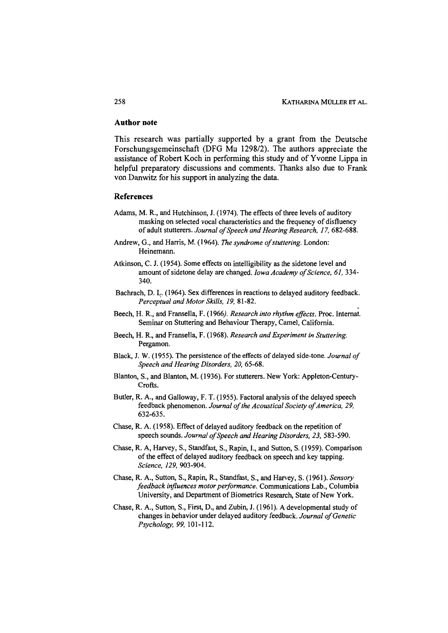#### **Authornote**

This research was partially supported by a grant from the Deutsche Forschungsgemeinschaft (DFG Mu 1298/2). The authors appreciate the assistance of Robert Koch in performing this study and of Yvonne Lippa in helpful preparatory discussions and comments. Thanks also due to Frank von Danwitz for bis support in analyzing the data.

#### **References**

- Adams, M. R., and Hutchinson, J. (1974). The effects of three levels of auditory masking on selected vocal characteristics and the frequency of disfluency of adult stutterers. *Journal of Speech and Hearing Research,* 17, 682-688.
- Andrew, G., and Harris, M. (1964). *The syndrome of stuttering*. London: Heinemann.
- Atkinson, C. J. (1954). Some effects on intelligibility as the sidetone level and amount of sidetone delay are changed. *Iowa Academy of Science*, 61, 334-340.
- Bachrach, D. L. (1964). Sex differences in reactions to delayed auditory feedback. *Perceptual and Motor Skills,* 19, 81-82. .
- Beech, H. R., and Fransella, F. (1966). *Research into rhythm effects.* Proc. Internat. Seminar on Stuttering and Behaviour Therapy, Camel, California.
- Beech, H. R., and Fransella, F. (1968). *Research and Experiment* in *Stuttering.*  Pergamon.
- Black, J. W. (1955). The persistence of the effects of delayed side-tone. *Journal of Speech and Hearing Disorders, 20, 65-68.*
- Blanton, S., and B1anton, M. (1936). For stutterers. New York: Appleton-Century-Crofts.
- Butler, R. A., and Galloway, F. T. (1955). Factoral analysis of the delayed speech feedback phenomenon. *Journal of the Acoustical Society of America, 29,*  632-635.
- Chase, R. A. (1958). Effect of delayed auditory feedback on the repetition of speech sounds. *Journal of Speech and Hearing Disorders, 23, 583-590.*
- Chase, R. A, Harvey, S., Standfast, S., Rapin, 1., and Sutton, S. (1959). Comparison of the effect of delayed auditory feedback on speech and key tapping. *Science,* 129,903-904.
- Chase, R. A., Sutton, S., Rapin, R., Standfast, S., and Harvey, S. (1961). *Sensory foedback injluences motor performance.* Communications Lab., Columbia University, and Department of Biometrics Research, State of New York.
- Chase, R. A., Sutton, S., First, D., and Zubin, J. (1961). A developmental study of changes in behavior under delayed auditory feedback. Journal of Genetic *Psychology,* 99, 101-112.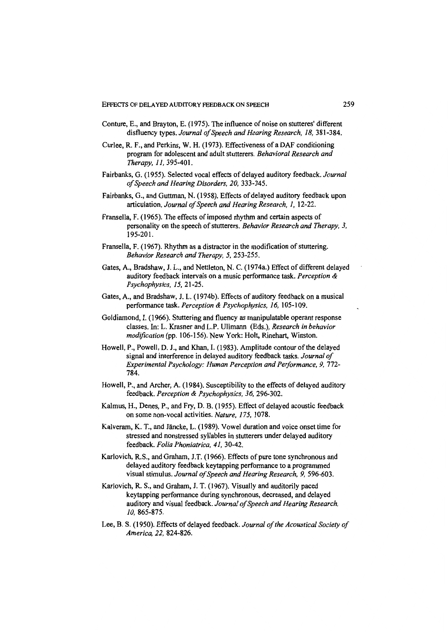- Conture, E., and Brayton, E. (1975). The influence of noise on stutteres' different disfluency types. *Journal ojSpeech and Hearing Research,* 18,381-384.
- Curlee, R. F., and Perkins, W. H. (1973). Effectiveness of a DAF conditioning program for adolescent and adult stutterers. *Behavioral Research and Therapy,* 11, 395-401.
- Fairbanks, G. (1955). Selected vocal effects of delayed auditory feedback. *Journal ojSpeech and Hearing Disordeis, 20, 333-345.*
- Fairbanks, G., and Guttman, N. (1958). Effects of delayed auditory feedback upon articulation. *Journal ojSpeech and Hearing Research,* 1, 12-22.
- Fransella, F. (1965). The effects of imposed rhythm and certain aspects of personality on the speech of stutterers. *Behavior Research and Therapy, 3,*  195-201.
- Fransella, F. (1967). Rhythm as a distractor in the modification of stuttering. *Behavior Research and Therapy,* 5, 253-255.
- Gates, A., Bradshaw, 1. L., and Nettleton, N. C. (1974a.) Effect of different delayed auditory feedback intervals on a music performance task. *Perception* & *Psychophysics,* 15,21-25.
- Gates, A, and Bradshaw, 1. L. (1974b). Effects of auditory feedback on a musical performance task. *Perception* & *Psychophysics,* 16, 105-109.
- Goldiamond, I. (1966). Stuttering and fluency as manipulatable operant response classes. In: L. Krasner and L.P. Ullmann (Eds.), *Research in behavior* modification (pp. 106-156). New York: Holt, Rinehart, Winston.
- Howell, P., Powell, D. J., and Khan, I. (1983). Amplitude contour of the delayed signal and interference in delayed auditory feedback tasks. *Journaloj Experimental Psychology: Human Perception and Perjormance,* 9, 772- 784.
- Howell, P., and Archer, A (1984). Susceptibility to the effects of delayed auditory feedback. *Perception* & *Psychophysics,* 36, 296-302.
- Kalmus, H., Denes, P., and Fry, D. B. (1955). Effect of delayed acoustic feedback on some non-vocal activities. *Nature,* 175, 1078.
- Kalveram, K. T., and Jäncke, L. (1989). Vowel duration and voice onset time for stressed and nonstressed syllables in stutterers under delayed auditory feedback. *Folia Phoniatrica,* 41, 30-42.
- Karlovich, R.S., and Graham, J.T. (1966). Effects of pure tone synchronous and delayed auditory feedback keytapping performance to a programmed visual stimulus. *Journal ojSpeech and Hearing Research,* 9, 596-603.
- Karlovich, R. S., and Graham, J. T. (1967). Visually and auditorily paced keytapping performance during synchronous, decreased, and delayed auditory and visual feedback. *Journal ojSpeech and Hearing Research, 10, 865-875.*
- Lee, B. S. (1950). Effects of delayed feedback. *Journal of the Acoustical Society of America,* 22, 824-826.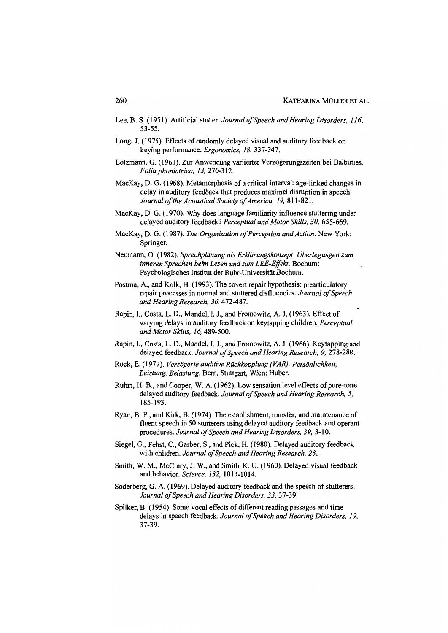- Lee, B. S. (1951). Artificial stutter. *Journal of Speech and Hearing Disorders*, 116, 53-55.
- Long, J. (1975). Effects of randomly delayed visual and auditory feedback on keying performance. *Ergonomics,* 18,337-347.
- Lotzmann, G. (1961). Zur Anwendung variierter Verzögerungszeiten bei Balbuties. *Folia phoniatrica,* 13,276-312.
- MacKay, D. G. (1968). Metamorphosis of a critical interval: age-Iinked changes in delay in auditory feedback that produces maximal disruption in speech. *Journal 01 the Acoustical Society 01 America,* 19, 811-821.
- MacKay, D. G. (1970). Why does language familiarity influence stuttering under delayed auditory feedback? *Perceptual and Motor Skills, 30, 655-669.*
- MacKay, D. G. (1987). *The Organization of Perception and Action*. New York: Springer.
- Neumann, O. (1982). *Sprechplanung als Erklärungskonzept. Überlegungen zum inneren Sprechen beim Lesen und zum LEE-Effekt.* Bochum: Psychologisches Institut der Ruhr-Universität Bochum.
- Postma, A., and Kolk, H. (1993). The covert repair hypothesis: prearticulatory repair processes in normal and stuttered disfluencies. *Journal 01 Speech and Hearing Research,* 36, 472-487.
- Rapin, 1., Costa, L. D., Mandel, I. J., and Fromowitz, A. J. (1963). Effect of varying delays in auditory feedback on keytapping children. *Perceptual and Motor SkUls,* 16,489-500.
- Rapin, 1., Costa, L. D., Mandel, I. J., and Fromowitz, A. J. (1966). Keytapping and delayed feedback. *Journal of Speech and Hearing Research*, 9, 278-288.
- Röck, E. (1977). *Verzögerte auditive Rückkopplung (VAR). Persönlichkeit, Leistung, Belastung.* Bem, Stuttgart, Wien: Huber.
- Ruhm, H. B., and Cooper, W. A. (1962). Low sensation level effects of pure-tone delayed auditory feedback. *Journal 01 Speech and Hearing Research, 5,*  185-193.
- Ryan, B. P., and Kirk, B. (1974). The establishment, transfer, and maintenance of fluent speech in 50 stutterers using delayed auditory feedback and operant procedures. *Journal of Speech and Hearing Disorders, 39, 3-10.*
- Siegel, G., Fehst, C., Garber, S., and Pick, H. (1980). Delayed auditory feedback with children. *Journal of Speech and Hearing Research*, 23.
- Smith, W. M., McCrary, J. W., and Smith, K. U. (1960). Delayed visual feedback and behavior. *Science,* 132, 1013-1014.
- Soderberg, G. A. (1969). Delayed auditory feedback and the speech of stutterers. *Journal olSpeech and Hearing Disorders,* 33, 37-39.
- Spilker, B. (1954). Some vocal effects of different reading passages and time delays in speech feedback. Journal of Speech and Hearing Disorders, 19, 37-39.